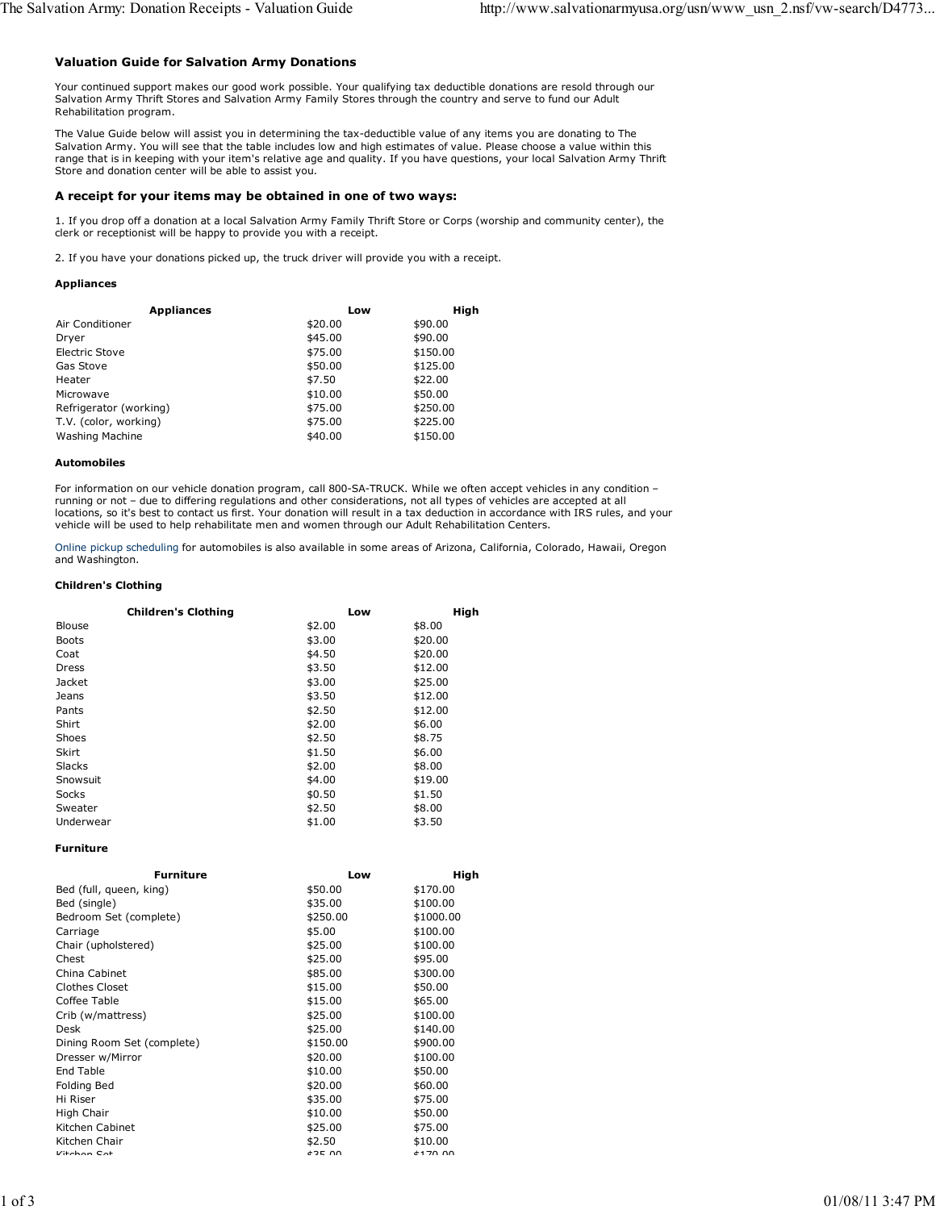## Valuation Guide for Salvation Army Donations

Your continued support makes our good work possible. Your qualifying tax deductible donations are resold through our Salvation Army Thrift Stores and Salvation Army Family Stores through the country and serve to fund our Adult Rehabilitation program.

The Value Guide below will assist you in determining the tax-deductible value of any items you are donating to The Salvation Army. You will see that the table includes low and high estimates of value. Please choose a value within this range that is in keeping with your item's relative age and quality. If you have questions, your local Salvation Army Thrift Store and donation center will be able to assist you.

#### A receipt for your items may be obtained in one of two ways:

1. If you drop off a donation at a local Salvation Army Family Thrift Store or Corps (worship and community center), the clerk or receptionist will be happy to provide you with a receipt.

2. If you have your donations picked up, the truck driver will provide you with a receipt.

#### Appliances

| <b>Appliances</b>      | Low     | High     |
|------------------------|---------|----------|
| Air Conditioner        | \$20.00 | \$90.00  |
| Dryer                  | \$45.00 | \$90.00  |
| Electric Stove         | \$75.00 | \$150.00 |
| Gas Stove              | \$50.00 | \$125.00 |
| Heater                 | \$7.50  | \$22.00  |
| Microwave              | \$10.00 | \$50.00  |
| Refrigerator (working) | \$75.00 | \$250.00 |
| T.V. (color, working)  | \$75.00 | \$225.00 |
| Washing Machine        | \$40.00 | \$150.00 |

#### Automobiles

For information on our vehicle donation program, call 800-SA-TRUCK. While we often accept vehicles in any condition – running or not – due to differing regulations and other considerations, not all types of vehicles are accepted at all locations, so it's best to contact us first. Your donation will result in a tax deduction in accordance with IRS rules, and your vehicle will be used to help rehabilitate men and women through our Adult Rehabilitation Centers.

Online pickup scheduling for automobiles is also available in some areas of Arizona, California, Colorado, Hawaii, Oregon and Washington.

### Children's Clothing

|               | <b>Children's Clothing</b> | Low    | High    |
|---------------|----------------------------|--------|---------|
| <b>Blouse</b> |                            | \$2.00 | \$8.00  |
| <b>Boots</b>  |                            | \$3.00 | \$20.00 |
| Coat          |                            | \$4.50 | \$20.00 |
| Dress         |                            | \$3.50 | \$12.00 |
| Jacket        |                            | \$3.00 | \$25.00 |
| Jeans         |                            | \$3.50 | \$12.00 |
| Pants         |                            | \$2.50 | \$12.00 |
| Shirt         |                            | \$2.00 | \$6.00  |
| Shoes         |                            | \$2.50 | \$8.75  |
| <b>Skirt</b>  |                            | \$1.50 | \$6.00  |
| <b>Slacks</b> |                            | \$2.00 | \$8.00  |
| Snowsuit      |                            | \$4.00 | \$19.00 |
| Socks         |                            | \$0.50 | \$1.50  |
| Sweater       |                            | \$2.50 | \$8.00  |
| Underwear     |                            | \$1.00 | \$3.50  |

Furniture

| Furniture                  | Low      | High      |
|----------------------------|----------|-----------|
| Bed (full, queen, king)    | \$50.00  | \$170.00  |
| Bed (single)               | \$35.00  | \$100.00  |
| Bedroom Set (complete)     | \$250.00 | \$1000.00 |
| Carriage                   | \$5.00   | \$100.00  |
| Chair (upholstered)        | \$25.00  | \$100.00  |
| Chest                      | \$25.00  | \$95.00   |
| China Cabinet              | \$85.00  | \$300.00  |
| <b>Clothes Closet</b>      | \$15.00  | \$50.00   |
| Coffee Table               | \$15.00  | \$65.00   |
| Crib (w/mattress)          | \$25.00  | \$100.00  |
| Desk                       | \$25.00  | \$140.00  |
| Dining Room Set (complete) | \$150.00 | \$900.00  |
| Dresser w/Mirror           | \$20.00  | \$100.00  |
| End Table                  | \$10.00  | \$50.00   |
| Folding Bed                | \$20.00  | \$60.00   |
| Hi Riser                   | \$35.00  | \$75.00   |
| High Chair                 | \$10.00  | \$50.00   |
| Kitchen Cabinet            | \$25.00  | \$75.00   |
| Kitchen Chair              | \$2.50   | \$10.00   |
| $V$ itchon $C$ ot          | $A2F$ 00 | $+170.00$ |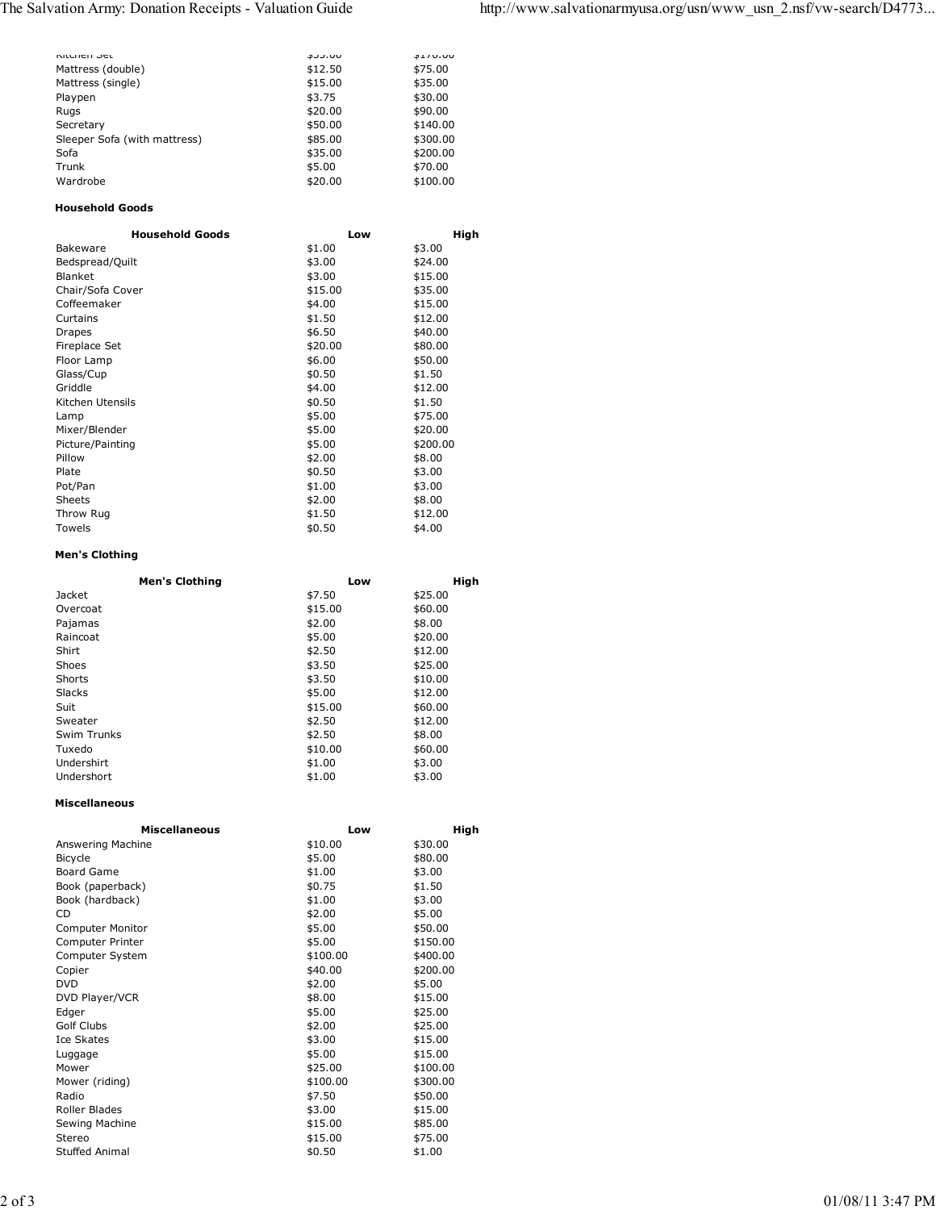| NILLIEII JEL                 | <b>JJJ.UU</b> | <b>DIV.UU</b> |
|------------------------------|---------------|---------------|
| Mattress (double)            | \$12.50       | \$75.00       |
| Mattress (single)            | \$15.00       | \$35.00       |
| Playpen                      | \$3.75        | \$30.00       |
| Rugs                         | \$20.00       | \$90.00       |
| Secretary                    | \$50.00       | \$140.00      |
| Sleeper Sofa (with mattress) | \$85.00       | \$300.00      |
| Sofa                         | \$35.00       | \$200.00      |
| Trunk                        | \$5.00        | \$70.00       |
| Wardrobe                     | \$20.00       | \$100.00      |
|                              |               |               |

## Household Goods

| <b>Household Goods</b> | Low     | High     |
|------------------------|---------|----------|
| Bakeware               | \$1.00  | \$3.00   |
| Bedspread/Quilt        | \$3.00  | \$24.00  |
| Blanket                | \$3.00  | \$15.00  |
| Chair/Sofa Cover       | \$15.00 | \$35.00  |
| Coffeemaker            | \$4.00  | \$15.00  |
| Curtains               | \$1.50  | \$12.00  |
| Drapes                 | \$6.50  | \$40.00  |
| Fireplace Set          | \$20.00 | \$80.00  |
| Floor Lamp             | \$6.00  | \$50.00  |
| Glass/Cup              | \$0.50  | \$1.50   |
| Griddle                | \$4.00  | \$12.00  |
| Kitchen Utensils       | \$0.50  | \$1.50   |
| Lamp                   | \$5.00  | \$75.00  |
| Mixer/Blender          | \$5.00  | \$20.00  |
| Picture/Painting       | \$5.00  | \$200.00 |
| Pillow                 | \$2.00  | \$8.00   |
| Plate                  | \$0.50  | \$3.00   |
| Pot/Pan                | \$1.00  | \$3.00   |
| Sheets                 | \$2.00  | \$8.00   |
| Throw Rug              | \$1.50  | \$12.00  |
| Towels                 | \$0.50  | \$4.00   |

# Men's Clothing

|             | <b>Men's Clothing</b> | Low     | High    |
|-------------|-----------------------|---------|---------|
| Jacket      |                       | \$7.50  | \$25.00 |
| Overcoat    |                       | \$15.00 | \$60.00 |
| Pajamas     |                       | \$2.00  | \$8.00  |
| Raincoat    |                       | \$5.00  | \$20.00 |
| Shirt       |                       | \$2.50  | \$12.00 |
| Shoes       |                       | \$3.50  | \$25.00 |
| Shorts      |                       | \$3.50  | \$10.00 |
| Slacks      |                       | \$5.00  | \$12.00 |
| Suit        |                       | \$15.00 | \$60.00 |
| Sweater     |                       | \$2.50  | \$12.00 |
| Swim Trunks |                       | \$2.50  | \$8.00  |
| Tuxedo      |                       | \$10.00 | \$60.00 |
| Undershirt  |                       | \$1.00  | \$3.00  |
| Undershort  |                       | \$1.00  | \$3.00  |

### Miscellaneous

| <b>Miscellaneous</b> | Low      | High     |
|----------------------|----------|----------|
| Answering Machine    | \$10.00  | \$30.00  |
| Bicycle              | \$5.00   | \$80.00  |
| <b>Board Game</b>    | \$1.00   | \$3.00   |
| Book (paperback)     | \$0.75   | \$1.50   |
| Book (hardback)      | \$1.00   | \$3.00   |
| CD                   | \$2.00   | \$5.00   |
| Computer Monitor     | \$5.00   | \$50.00  |
| Computer Printer     | \$5.00   | \$150.00 |
| Computer System      | \$100.00 | \$400.00 |
| Copier               | \$40.00  | \$200.00 |
| <b>DVD</b>           | \$2.00   | \$5.00   |
| DVD Player/VCR       | \$8.00   | \$15.00  |
| Edger                | \$5.00   | \$25.00  |
| Golf Clubs           | \$2.00   | \$25.00  |
| Ice Skates           | \$3.00   | \$15.00  |
| Luggage              | \$5.00   | \$15.00  |
| Mower                | \$25.00  | \$100.00 |
| Mower (riding)       | \$100.00 | \$300.00 |
| Radio                | \$7.50   | \$50.00  |
| Roller Blades        | \$3.00   | \$15.00  |
| Sewing Machine       | \$15.00  | \$85.00  |
| Stereo               | \$15.00  | \$75.00  |
| Stuffed Animal       | \$0.50   | \$1.00   |